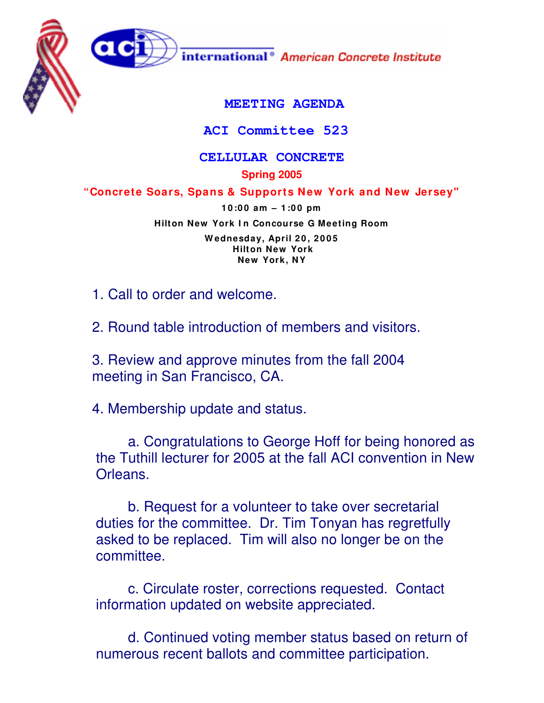

## **ACI Committee 523**

## **CELLULAR CONCRETE**

**Spring 2005**

**"Concrete Soars, Spans & Supports New York and New Jersey"**

**1 0 :0 0 am – 1 :0 0 pm Hilton New York I n Concourse G Meeting Room W ednesday, April 2 0 , 2 0 0 5 Hilton New York New York, NY**

1. Call to order and welcome.

2. Round table introduction of members and visitors.

3. Review and approve minutes from the fall 2004 meeting in San Francisco, CA.

4. Membership update and status.

a. Congratulations to George Hoff for being honored as the Tuthill lecturer for 2005 at the fall ACI convention in New Orleans.

b. Request for a volunteer to take over secretarial duties for the committee. Dr. Tim Tonyan has regretfully asked to be replaced. Tim will also no longer be on the committee.

c. Circulate roster, corrections requested. Contact information updated on website appreciated.

d. Continued voting member status based on return of numerous recent ballots and committee participation.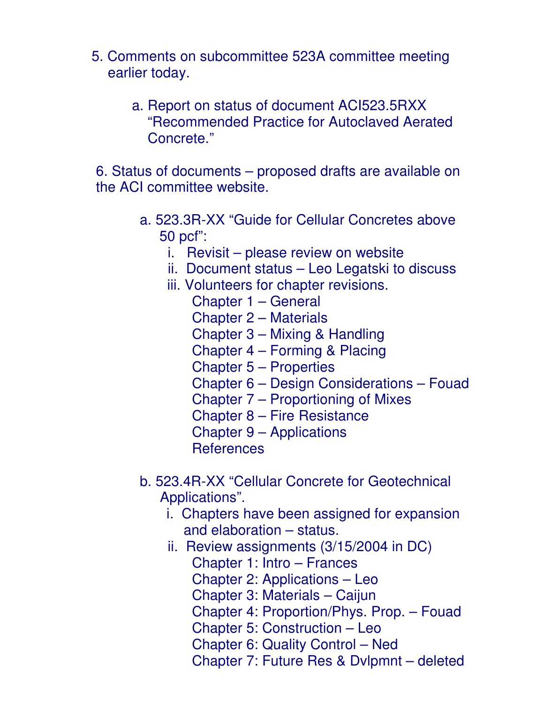- 5. Comments on subcommittee 523A committee meeting earlier today.
	- a. Report on status of document ACI523.5RXX "Recommended Practice for Autoclaved Aerated Concrete."

6. Status of documents – proposed drafts are available on the ACI committee website.

- a. 523.3R-XX "Guide for Cellular Concretes above 50 pcf":
	- i. Revisit please review on website
	- ii. Document status Leo Legatski to discuss
	- iii. Volunteers for chapter revisions.
		- Chapter 1 General
		- Chapter 2 Materials
		- Chapter 3 Mixing & Handling
		- Chapter 4 Forming & Placing
		- Chapter 5 Properties
		- Chapter 6 Design Considerations Fouad
		- Chapter 7 Proportioning of Mixes
		- Chapter 8 Fire Resistance
		- Chapter 9 Applications
		- **References**
- b. 523.4R-XX "Cellular Concrete for Geotechnical Applications".
	- i. Chapters have been assigned for expansion and elaboration – status.
	- ii. Review assignments (3/15/2004 in DC)
		- Chapter 1: Intro Frances
		- Chapter 2: Applications Leo
		- Chapter 3: Materials Caijun
		- Chapter 4: Proportion/Phys. Prop. Fouad
		- Chapter 5: Construction Leo
		- Chapter 6: Quality Control Ned
		- Chapter 7: Future Res & Dvlpmnt deleted